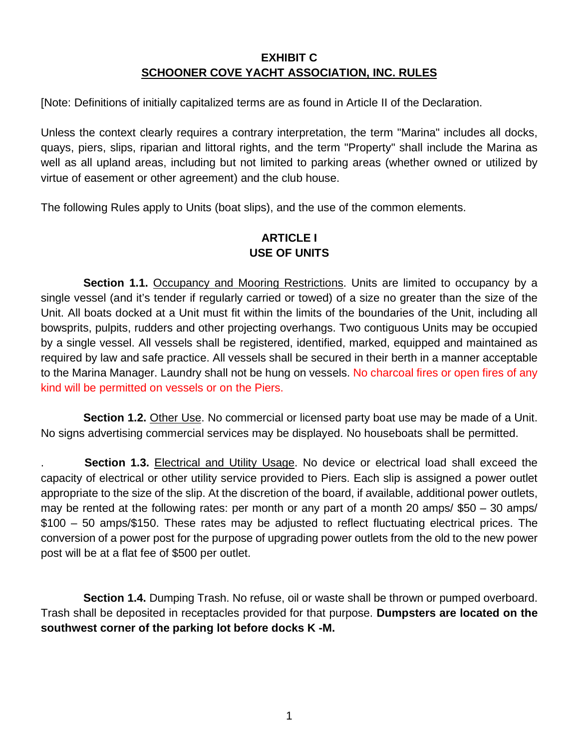# **EXHIBIT C SCHOONER COVE YACHT ASSOCIATION, INC. RULES**

[Note: Definitions of initially capitalized terms are as found in Article II of the Declaration.

Unless the context clearly requires a contrary interpretation, the term "Marina" includes all docks, quays, piers, slips, riparian and littoral rights, and the term "Property" shall include the Marina as well as all upland areas, including but not limited to parking areas (whether owned or utilized by virtue of easement or other agreement) and the club house.

The following Rules apply to Units (boat slips), and the use of the common elements.

# **ARTICLE I USE OF UNITS**

**Section 1.1.** Occupancy and Mooring Restrictions. Units are limited to occupancy by a single vessel (and it's tender if regularly carried or towed) of a size no greater than the size of the Unit. All boats docked at a Unit must fit within the limits of the boundaries of the Unit, including all bowsprits, pulpits, rudders and other projecting overhangs. Two contiguous Units may be occupied by a single vessel. All vessels shall be registered, identified, marked, equipped and maintained as required by law and safe practice. All vessels shall be secured in their berth in a manner acceptable to the Marina Manager. Laundry shall not be hung on vessels. No charcoal fires or open fires of any kind will be permitted on vessels or on the Piers.

 **Section 1.2.** Other Use. No commercial or licensed party boat use may be made of a Unit. No signs advertising commercial services may be displayed. No houseboats shall be permitted.

Section 1.3. Electrical and Utility Usage. No device or electrical load shall exceed the capacity of electrical or other utility service provided to Piers. Each slip is assigned a power outlet appropriate to the size of the slip. At the discretion of the board, if available, additional power outlets, may be rented at the following rates: per month or any part of a month 20 amps/ \$50 – 30 amps/ \$100 – 50 amps/\$150. These rates may be adjusted to reflect fluctuating electrical prices. The conversion of a power post for the purpose of upgrading power outlets from the old to the new power post will be at a flat fee of \$500 per outlet.

**Section 1.4.** Dumping Trash. No refuse, oil or waste shall be thrown or pumped overboard. Trash shall be deposited in receptacles provided for that purpose. **Dumpsters are located on the southwest corner of the parking lot before docks K -M.**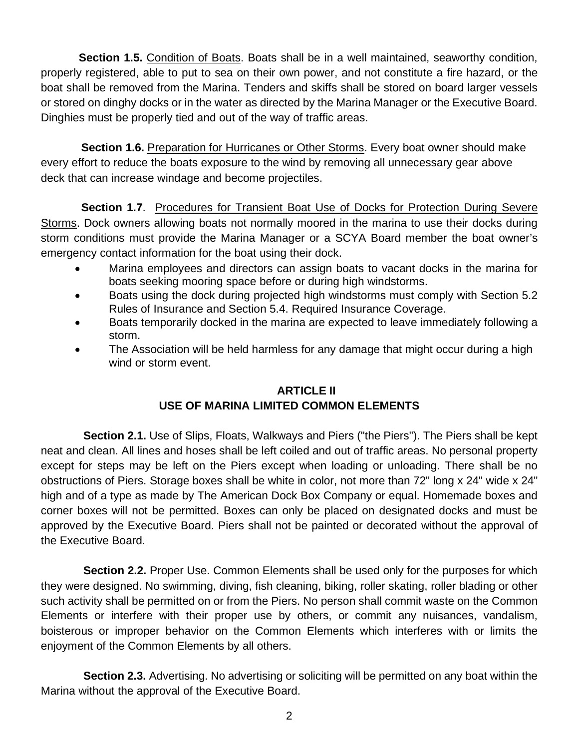**Section 1.5.** Condition of Boats. Boats shall be in a well maintained, seaworthy condition, properly registered, able to put to sea on their own power, and not constitute a fire hazard, or the boat shall be removed from the Marina. Tenders and skiffs shall be stored on board larger vessels or stored on dinghy docks or in the water as directed by the Marina Manager or the Executive Board. Dinghies must be properly tied and out of the way of traffic areas.

 **Section 1.6.** Preparation for Hurricanes or Other Storms. Every boat owner should make every effort to reduce the boats exposure to the wind by removing all unnecessary gear above deck that can increase windage and become projectiles.

**Section 1.7.** Procedures for Transient Boat Use of Docks for Protection During Severe Storms. Dock owners allowing boats not normally moored in the marina to use their docks during storm conditions must provide the Marina Manager or a SCYA Board member the boat owner's emergency contact information for the boat using their dock.

- Marina employees and directors can assign boats to vacant docks in the marina for boats seeking mooring space before or during high windstorms.
- Boats using the dock during projected high windstorms must comply with Section 5.2 Rules of Insurance and Section 5.4. Required Insurance Coverage.
- Boats temporarily docked in the marina are expected to leave immediately following a storm.
- The Association will be held harmless for any damage that might occur during a high wind or storm event.

# **ARTICLE II USE OF MARINA LIMITED COMMON ELEMENTS**

**Section 2.1.** Use of Slips, Floats, Walkways and Piers ("the Piers"). The Piers shall be kept neat and clean. All lines and hoses shall be left coiled and out of traffic areas. No personal property except for steps may be left on the Piers except when loading or unloading. There shall be no obstructions of Piers. Storage boxes shall be white in color, not more than 72" long x 24" wide x 24" high and of a type as made by The American Dock Box Company or equal. Homemade boxes and corner boxes will not be permitted. Boxes can only be placed on designated docks and must be approved by the Executive Board. Piers shall not be painted or decorated without the approval of the Executive Board.

**Section 2.2.** Proper Use. Common Elements shall be used only for the purposes for which they were designed. No swimming, diving, fish cleaning, biking, roller skating, roller blading or other such activity shall be permitted on or from the Piers. No person shall commit waste on the Common Elements or interfere with their proper use by others, or commit any nuisances, vandalism, boisterous or improper behavior on the Common Elements which interferes with or limits the enjoyment of the Common Elements by all others.

**Section 2.3.** Advertising. No advertising or soliciting will be permitted on any boat within the Marina without the approval of the Executive Board.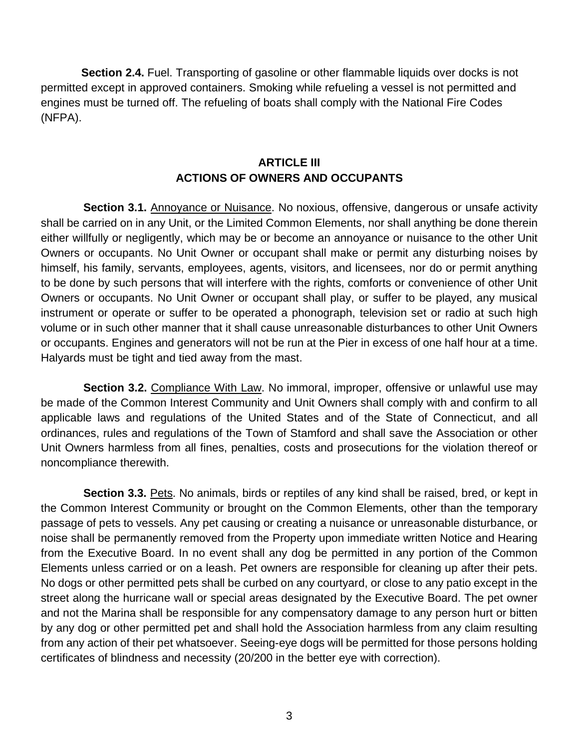**Section 2.4.** Fuel. Transporting of gasoline or other flammable liquids over docks is not permitted except in approved containers. Smoking while refueling a vessel is not permitted and engines must be turned off. The refueling of boats shall comply with the National Fire Codes (NFPA).

### **ARTICLE III ACTIONS OF OWNERS AND OCCUPANTS**

Section 3.1. Annoyance or Nuisance. No noxious, offensive, dangerous or unsafe activity shall be carried on in any Unit, or the Limited Common Elements, nor shall anything be done therein either willfully or negligently, which may be or become an annoyance or nuisance to the other Unit Owners or occupants. No Unit Owner or occupant shall make or permit any disturbing noises by himself, his family, servants, employees, agents, visitors, and licensees, nor do or permit anything to be done by such persons that will interfere with the rights, comforts or convenience of other Unit Owners or occupants. No Unit Owner or occupant shall play, or suffer to be played, any musical instrument or operate or suffer to be operated a phonograph, television set or radio at such high volume or in such other manner that it shall cause unreasonable disturbances to other Unit Owners or occupants. Engines and generators will not be run at the Pier in excess of one half hour at a time. Halyards must be tight and tied away from the mast.

**Section 3.2.** Compliance With Law. No immoral, improper, offensive or unlawful use may be made of the Common Interest Community and Unit Owners shall comply with and confirm to all applicable laws and regulations of the United States and of the State of Connecticut, and all ordinances, rules and regulations of the Town of Stamford and shall save the Association or other Unit Owners harmless from all fines, penalties, costs and prosecutions for the violation thereof or noncompliance therewith.

**Section 3.3.** Pets. No animals, birds or reptiles of any kind shall be raised, bred, or kept in the Common Interest Community or brought on the Common Elements, other than the temporary passage of pets to vessels. Any pet causing or creating a nuisance or unreasonable disturbance, or noise shall be permanently removed from the Property upon immediate written Notice and Hearing from the Executive Board. In no event shall any dog be permitted in any portion of the Common Elements unless carried or on a leash. Pet owners are responsible for cleaning up after their pets. No dogs or other permitted pets shall be curbed on any courtyard, or close to any patio except in the street along the hurricane wall or special areas designated by the Executive Board. The pet owner and not the Marina shall be responsible for any compensatory damage to any person hurt or bitten by any dog or other permitted pet and shall hold the Association harmless from any claim resulting from any action of their pet whatsoever. Seeing-eye dogs will be permitted for those persons holding certificates of blindness and necessity (20/200 in the better eye with correction).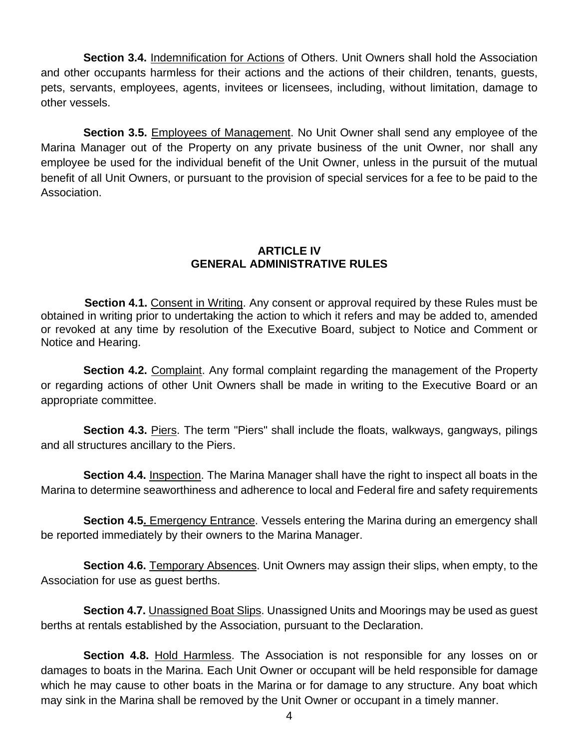**Section 3.4.** Indemnification for Actions of Others. Unit Owners shall hold the Association and other occupants harmless for their actions and the actions of their children, tenants, guests, pets, servants, employees, agents, invitees or licensees, including, without limitation, damage to other vessels.

**Section 3.5.** Employees of Management. No Unit Owner shall send any employee of the Marina Manager out of the Property on any private business of the unit Owner, nor shall any employee be used for the individual benefit of the Unit Owner, unless in the pursuit of the mutual benefit of all Unit Owners, or pursuant to the provision of special services for a fee to be paid to the Association.

#### **ARTICLE IV GENERAL ADMINISTRATIVE RULES**

 **Section 4.1.** Consent in Writing. Any consent or approval required by these Rules must be obtained in writing prior to undertaking the action to which it refers and may be added to, amended or revoked at any time by resolution of the Executive Board, subject to Notice and Comment or Notice and Hearing.

**Section 4.2.** Complaint. Any formal complaint regarding the management of the Property or regarding actions of other Unit Owners shall be made in writing to the Executive Board or an appropriate committee.

**Section 4.3.** Piers. The term "Piers" shall include the floats, walkways, gangways, pilings and all structures ancillary to the Piers.

**Section 4.4.** Inspection. The Marina Manager shall have the right to inspect all boats in the Marina to determine seaworthiness and adherence to local and Federal fire and safety requirements

**Section 4.5.** Emergency Entrance. Vessels entering the Marina during an emergency shall be reported immediately by their owners to the Marina Manager.

**Section 4.6.** Temporary Absences. Unit Owners may assign their slips, when empty, to the Association for use as guest berths.

**Section 4.7.** Unassigned Boat Slips. Unassigned Units and Moorings may be used as guest berths at rentals established by the Association, pursuant to the Declaration.

**Section 4.8.** Hold Harmless. The Association is not responsible for any losses on or damages to boats in the Marina. Each Unit Owner or occupant will be held responsible for damage which he may cause to other boats in the Marina or for damage to any structure. Any boat which may sink in the Marina shall be removed by the Unit Owner or occupant in a timely manner.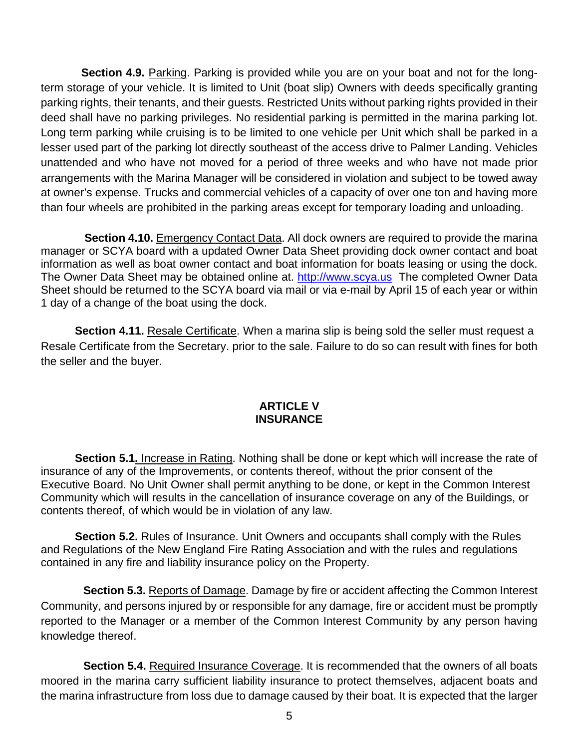**Section 4.9.** Parking. Parking is provided while you are on your boat and not for the longterm storage of your vehicle. It is limited to Unit (boat slip) Owners with deeds specifically granting parking rights, their tenants, and their guests. Restricted Units without parking rights provided in their deed shall have no parking privileges. No residential parking is permitted in the marina parking lot. Long term parking while cruising is to be limited to one vehicle per Unit which shall be parked in a lesser used part of the parking lot directly southeast of the access drive to Palmer Landing. Vehicles unattended and who have not moved for a period of three weeks and who have not made prior arrangements with the Marina Manager will be considered in violation and subject to be towed away at owner's expense. Trucks and commercial vehicles of a capacity of over one ton and having more than four wheels are prohibited in the parking areas except for temporary loading and unloading.

**Section 4.10.** Emergency Contact Data. All dock owners are required to provide the marina manager or SCYA board with a updated Owner Data Sheet providing dock owner contact and boat information as well as boat owner contact and boat information for boats leasing or using the dock. The Owner Data Sheet may be obtained online at. [http://www.scya.us](http://www.scya.us/) The completed Owner Data Sheet should be returned to the SCYA board via mail or via e-mail by April 15 of each year or within 1 day of a change of the boat using the dock.

**Section 4.11.** Resale Certificate. When a marina slip is being sold the seller must request a Resale Certificate from the Secretary. prior to the sale. Failure to do so can result with fines for both the seller and the buyer.

#### **ARTICLE V INSURANCE**

**Section 5.1.** Increase in Rating. Nothing shall be done or kept which will increase the rate of insurance of any of the Improvements, or contents thereof, without the prior consent of the Executive Board. No Unit Owner shall permit anything to be done, or kept in the Common Interest Community which will results in the cancellation of insurance coverage on any of the Buildings, or contents thereof, of which would be in violation of any law.

**Section 5.2.** Rules of Insurance. Unit Owners and occupants shall comply with the Rules and Regulations of the New England Fire Rating Association and with the rules and regulations contained in any fire and liability insurance policy on the Property.

**Section 5.3.** Reports of Damage. Damage by fire or accident affecting the Common Interest Community, and persons injured by or responsible for any damage, fire or accident must be promptly reported to the Manager or a member of the Common Interest Community by any person having knowledge thereof.

**Section 5.4.** Required Insurance Coverage. It is recommended that the owners of all boats moored in the marina carry sufficient liability insurance to protect themselves, adjacent boats and the marina infrastructure from loss due to damage caused by their boat. It is expected that the larger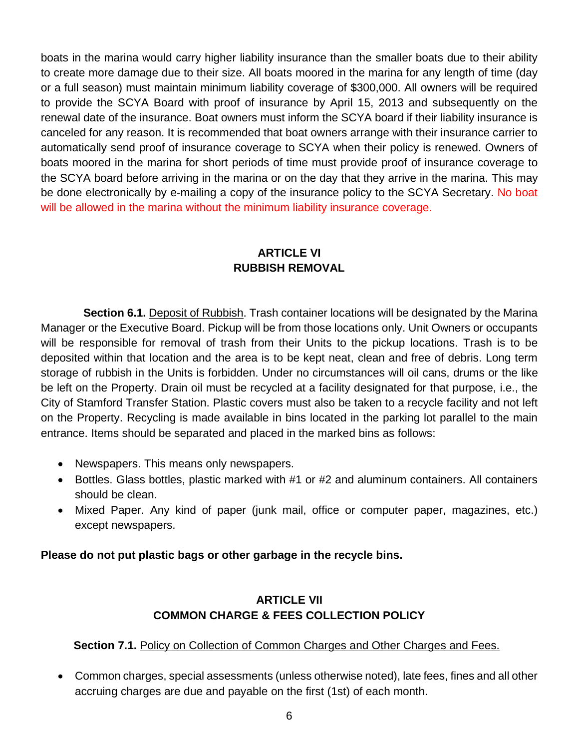boats in the marina would carry higher liability insurance than the smaller boats due to their ability to create more damage due to their size. All boats moored in the marina for any length of time (day or a full season) must maintain minimum liability coverage of \$300,000. All owners will be required to provide the SCYA Board with proof of insurance by April 15, 2013 and subsequently on the renewal date of the insurance. Boat owners must inform the SCYA board if their liability insurance is canceled for any reason. It is recommended that boat owners arrange with their insurance carrier to automatically send proof of insurance coverage to SCYA when their policy is renewed. Owners of boats moored in the marina for short periods of time must provide proof of insurance coverage to the SCYA board before arriving in the marina or on the day that they arrive in the marina. This may be done electronically by e-mailing a copy of the insurance policy to the SCYA Secretary. No boat will be allowed in the marina without the minimum liability insurance coverage.

# **ARTICI F VI RUBBISH REMOVAL**

**Section 6.1.** Deposit of Rubbish. Trash container locations will be designated by the Marina Manager or the Executive Board. Pickup will be from those locations only. Unit Owners or occupants will be responsible for removal of trash from their Units to the pickup locations. Trash is to be deposited within that location and the area is to be kept neat, clean and free of debris. Long term storage of rubbish in the Units is forbidden. Under no circumstances will oil cans, drums or the like be left on the Property. Drain oil must be recycled at a facility designated for that purpose, i.e., the City of Stamford Transfer Station. Plastic covers must also be taken to a recycle facility and not left on the Property. Recycling is made available in bins located in the parking lot parallel to the main entrance. Items should be separated and placed in the marked bins as follows:

- Newspapers. This means only newspapers.
- Bottles. Glass bottles, plastic marked with #1 or #2 and aluminum containers. All containers should be clean.
- Mixed Paper. Any kind of paper (junk mail, office or computer paper, magazines, etc.) except newspapers.

### **Please do not put plastic bags or other garbage in the recycle bins.**

# **ARTICLE VII COMMON CHARGE & FEES COLLECTION POLICY**

### **Section 7.1.** Policy on Collection of Common Charges and Other Charges and Fees.

• Common charges, special assessments (unless otherwise noted), late fees, fines and all other accruing charges are due and payable on the first (1st) of each month.